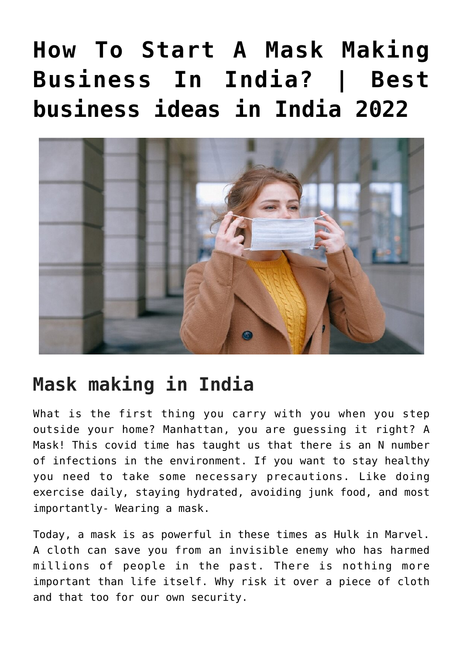# **[How To Start A Mask Making](https://inbusinessideas.com/how-to-start-a-mask-making-business-in-india/) [Business In India? | Best](https://inbusinessideas.com/how-to-start-a-mask-making-business-in-india/) [business ideas in India 2022](https://inbusinessideas.com/how-to-start-a-mask-making-business-in-india/)**



### **Mask making in India**

What is the first thing you carry with you when you step outside your home? Manhattan, you are guessing it right? A Mask! This covid time has taught us that there is an N number of infections in the environment. If you want to stay healthy you need to take some necessary precautions. Like doing exercise daily, staying hydrated, avoiding junk food, and most importantly- Wearing a mask.

Today, a mask is as powerful in these times as Hulk in Marvel. A cloth can save you from an invisible enemy who has harmed millions of people in the past. There is nothing more important than life itself. Why risk it over a piece of cloth and that too for our own security.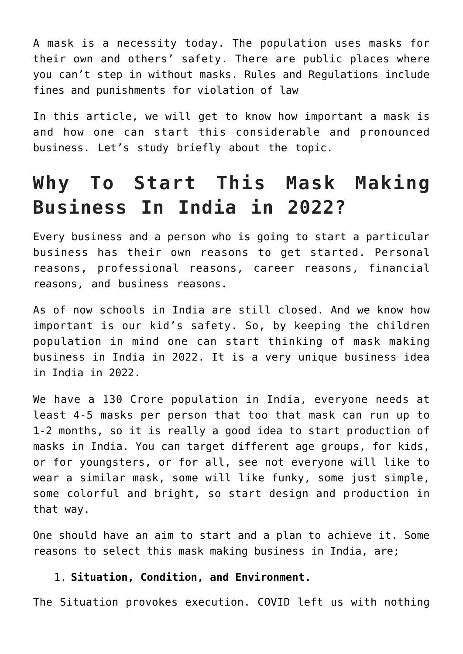A mask is a necessity today. The population uses masks for their own and others' safety. There are public places where you can't step in without masks. Rules and Regulations include fines and punishments for violation of law

In this article, we will get to know how important a mask is and how one can start this considerable and pronounced business. Let's study briefly about the topic.

## **Why To Start This Mask Making Business In India in 2022?**

Every business and a person who is going to start a particular business has their own reasons to get started. Personal reasons, professional reasons, career reasons, financial reasons, and business reasons.

As of now schools in India are still closed. And we know how important is our kid's safety. So, by keeping the children population in mind one can start thinking of mask making business in India in 2022. It is a very unique business idea in India in 2022.

We have a 130 Crore population in India, everyone needs at least 4-5 masks per person that too that mask can run up to 1-2 months, so it is really a good idea to start production of masks in India. You can target different age groups, for kids, or for youngsters, or for all, see not everyone will like to wear a similar mask, some will like funky, some just simple, some colorful and bright, so start design and production in that way.

One should have an aim to start and a plan to achieve it. Some reasons to select this mask making business in India, are;

### 1. **Situation, Condition, and Environment.**

The Situation provokes execution. COVID left us with nothing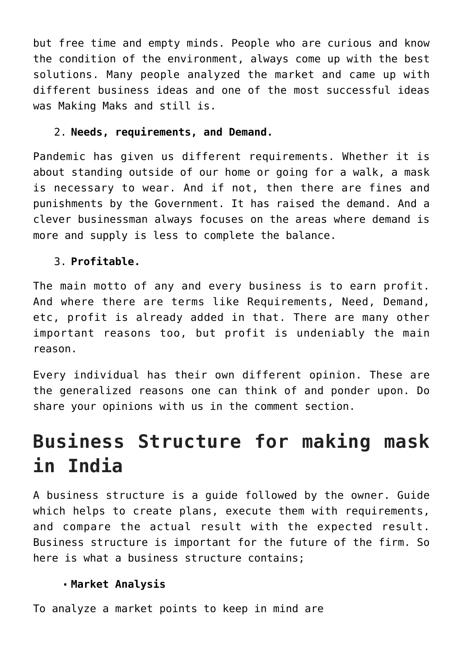but free time and empty minds. People who are curious and know the condition of the environment, always come up with the best solutions. Many people analyzed the market and came up with different business ideas and one of the most successful ideas was Making Maks and still is.

#### 2. **Needs, requirements, and Demand.**

Pandemic has given us different requirements. Whether it is about standing outside of our home or going for a walk, a mask is necessary to wear. And if not, then there are fines and punishments by the Government. It has raised the demand. And a clever businessman always focuses on the areas where demand is more and supply is less to complete the balance.

### 3. **Profitable.**

The main motto of any and every business is to earn profit. And where there are terms like Requirements, Need, Demand, etc, profit is already added in that. There are many other important reasons too, but profit is undeniably the main reason.

Every individual has their own different opinion. These are the generalized reasons one can think of and ponder upon. Do share your opinions with us in the comment section.

### **Business Structure for making mask in India**

A business structure is a guide followed by the owner. Guide which helps to create plans, execute them with requirements, and compare the actual result with the expected result. Business structure is important for the future of the firm. So here is what a business structure contains;

### **Market Analysis**

To analyze a market points to keep in mind are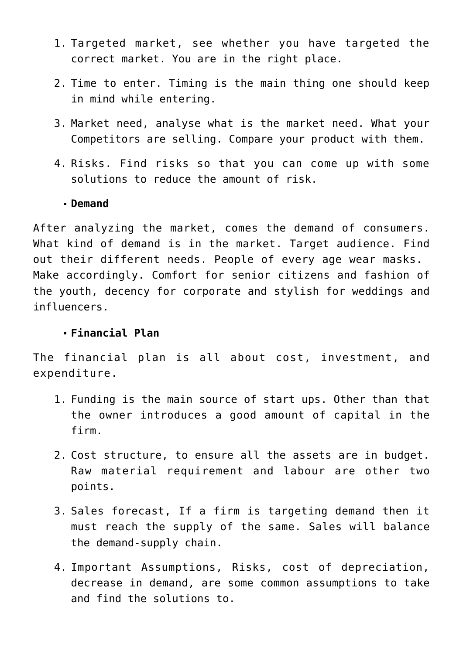- 1. Targeted market, see whether you have targeted the correct market. You are in the right place.
- 2. Time to enter. Timing is the main thing one should keep in mind while entering.
- 3. Market need, analyse what is the market need. What your Competitors are selling. Compare your product with them.
- 4. Risks. Find risks so that you can come up with some solutions to reduce the amount of risk.

#### **Demand**

After analyzing the market, comes the demand of consumers. What kind of demand is in the market. Target audience. Find out their different needs. People of every age wear masks. Make accordingly. Comfort for senior citizens and fashion of the youth, decency for corporate and stylish for weddings and influencers.

#### **Financial Plan**

The financial plan is all about cost, investment, and expenditure.

- 1. Funding is the main source of start ups. Other than that the owner introduces a good amount of capital in the firm.
- 2. Cost structure, to ensure all the assets are in budget. Raw material requirement and labour are other two points.
- 3. Sales forecast, If a firm is targeting demand then it must reach the supply of the same. Sales will balance the demand-supply chain.
- 4. Important Assumptions, Risks, cost of depreciation, decrease in demand, are some common assumptions to take and find the solutions to.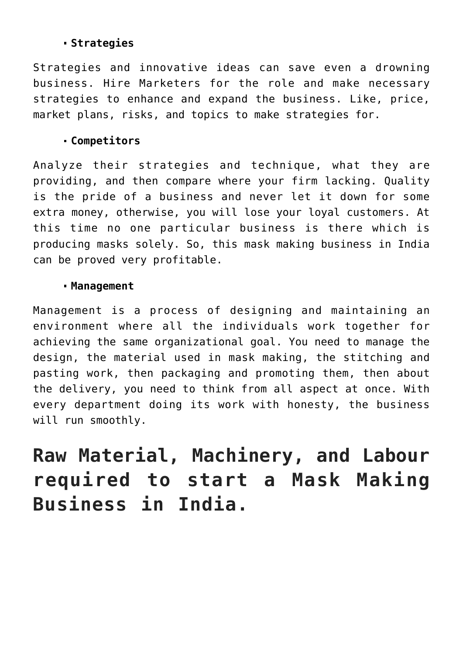### **Strategies**

Strategies and innovative ideas can save even a drowning business. Hire Marketers for the role and make necessary strategies to enhance and expand the business. Like, price, market plans, risks, and topics to make strategies for.

#### **Competitors**

Analyze their strategies and technique, what they are providing, and then compare where your firm lacking. Quality is the pride of a business and never let it down for some extra money, otherwise, you will lose your loyal customers. At this time no one particular business is there which is producing masks solely. So, this mask making business in India can be proved very profitable.

#### **Management**

Management is a process of designing and maintaining an environment where all the individuals work together for achieving the same organizational goal. You need to manage the design, the material used in mask making, the stitching and pasting work, then packaging and promoting them, then about the delivery, you need to think from all aspect at once. With every department doing its work with honesty, the business will run smoothly.

**Raw Material, Machinery, and Labour required to start a Mask Making Business in India.**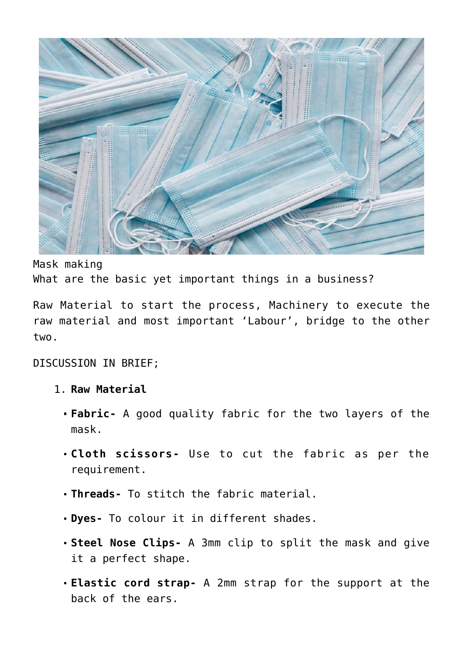

Mask making What are the basic yet important things in a business?

Raw Material to start the process, Machinery to execute the raw material and most important 'Labour', bridge to the other two.

DISCUSSION IN BRIEF;

- 1. **Raw Material**
	- **Fabric-** A good quality fabric for the two layers of the mask.
	- **Cloth scissors-** Use to cut the fabric as per the requirement.
	- **Threads-** To stitch the fabric material.
	- **Dyes-** To colour it in different shades.
	- **Steel Nose Clips-** A 3mm clip to split the mask and give it a perfect shape.
	- **Elastic cord strap-** A 2mm strap for the support at the back of the ears.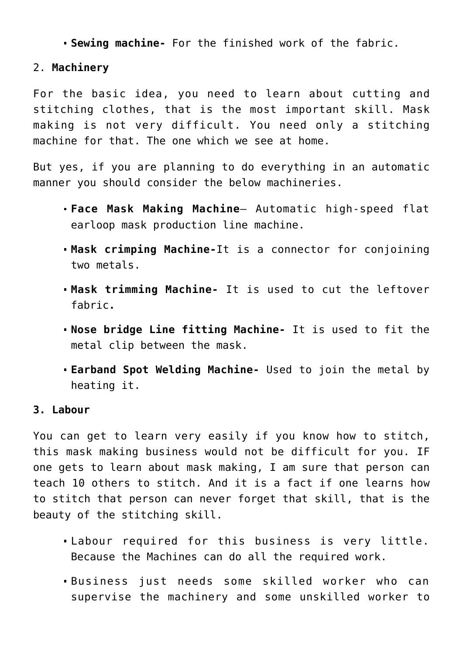**Sewing machine-** For the finished work of the fabric.

### 2. **Machinery**

For the basic idea, you need to learn about cutting and stitching clothes, that is the most important skill. Mask making is not very difficult. You need only a stitching machine for that. The one which we see at home.

But yes, if you are planning to do everything in an automatic manner you should consider the below machineries.

- **Face Mask Making Machine** Automatic high-speed flat earloop mask production line machine.
- **Mask crimping Machine-**It is a connector for conjoining two metals.
- **Mask trimming Machine-** It is used to cut the leftover fabric**.**
- **Nose bridge Line fitting Machine-** It is used to fit the metal clip between the mask.
- **Earband Spot Welding Machine-** Used to join the metal by heating it.

### **3. Labour**

You can get to learn very easily if you know how to stitch, this mask making business would not be difficult for you. IF one gets to learn about mask making, I am sure that person can teach 10 others to stitch. And it is a fact if one learns how to stitch that person can never forget that skill, that is the beauty of the stitching skill.

- Labour required for this business is very little. Because the Machines can do all the required work.
- Business just needs some skilled worker who can supervise the machinery and some unskilled worker to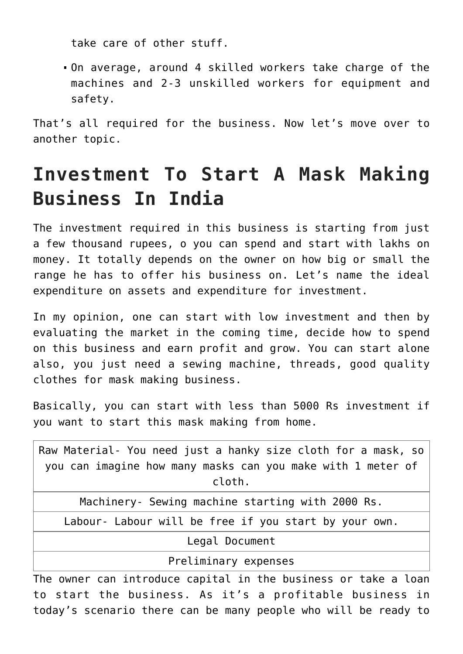take care of other stuff.

On average, around 4 skilled workers take charge of the machines and 2-3 unskilled workers for equipment and safety.

That's all required for the business. Now let's move over to another topic.

### **Investment To Start A Mask Making Business In India**

The investment required in this business is starting from just a few thousand rupees, o you can spend and start with lakhs on money. It totally depends on the owner on how big or small the range he has to offer his business on. Let's name the ideal expenditure on assets and expenditure for investment.

In my opinion, one can start with low investment and then by evaluating the market in the coming time, decide how to spend on this business and earn profit and grow. You can start alone also, you just need a sewing machine, threads, good quality clothes for mask making business.

Basically, you can start with less than 5000 Rs investment if you want to start this mask making from home.

The owner can introduce capital in the business or take a loan to start the business. As it's a profitable business in today's scenario there can be many people who will be ready to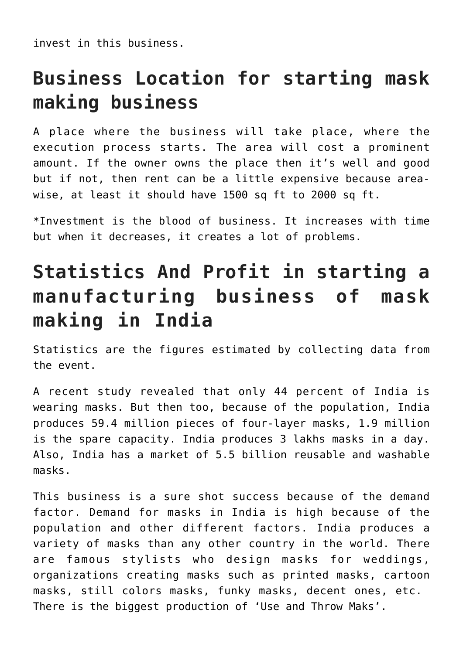invest in this business.

### **Business Location for starting mask making business**

A place where the business will take place, where the execution process starts. The area will cost a prominent amount. If the owner owns the place then it's well and good but if not, then rent can be a little expensive because areawise, at least it should have 1500 sq ft to 2000 sq ft.

\*Investment is the blood of business. It increases with time but when it decreases, it creates a lot of problems.

### **Statistics And Profit in starting a manufacturing business of mask making in India**

Statistics are the figures estimated by collecting data from the event.

A recent study revealed that only 44 percent of India is wearing masks. But then too, because of the population, India produces 59.4 million pieces of four-layer masks, 1.9 million is the spare capacity. India produces 3 lakhs masks in a day. Also, India has a market of 5.5 billion reusable and washable masks.

This business is a sure shot success because of the demand factor. Demand for masks in India is high because of the population and other different factors. India produces a variety of masks than any other country in the world. There are famous stylists who design masks for weddings, organizations creating masks such as printed masks, cartoon masks, still colors masks, funky masks, decent ones, etc. There is the biggest production of 'Use and Throw Maks'.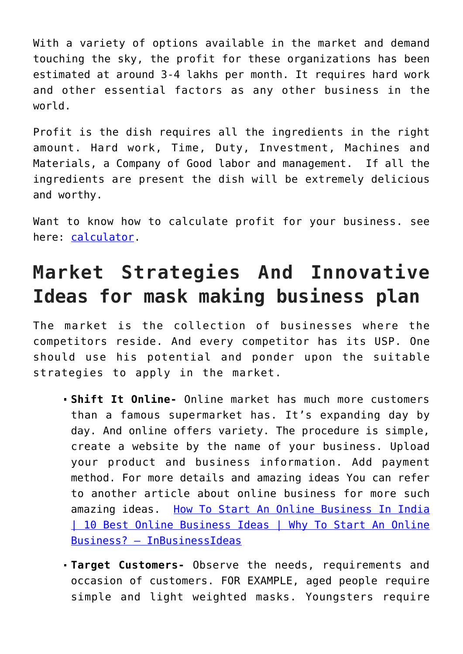With a variety of options available in the market and demand touching the sky, the profit for these organizations has been estimated at around 3-4 lakhs per month. It requires hard work and other essential factors as any other business in the world.

Profit is the dish requires all the ingredients in the right amount. Hard work, Time, Duty, Investment, Machines and Materials, a Company of Good labor and management. If all the ingredients are present the dish will be extremely delicious and worthy.

Want to know how to calculate profit for your business. see here: [calculator.](https://indianmoney.com/articles/what-is-gross-profit-and-how-to-calculate-it#:~:text=Calculating%20gross%20profit%20is%20simple,Revenue%20%E2%80%93%20Cost%20of%20Goods%20Sold.)

## **Market Strategies And Innovative Ideas for mask making business plan**

The market is the collection of businesses where the competitors reside. And every competitor has its USP. One should use his potential and ponder upon the suitable strategies to apply in the market.

- **Shift It Online-** Online market has much more customers than a famous supermarket has. It's expanding day by day. And online offers variety. The procedure is simple, create a website by the name of your business. Upload your product and business information. Add payment method. For more details and amazing ideas You can refer to another article about online business for more such amazing ideas. [How To Start An Online Business In India](https://inbusinessideas.com/how-to-start-an-online-business-in-india/) [| 10 Best Online Business Ideas | Why To Start An Online](https://inbusinessideas.com/how-to-start-an-online-business-in-india/) [Business? – InBusinessIdeas](https://inbusinessideas.com/how-to-start-an-online-business-in-india/)
- **Target Customers-** Observe the needs, requirements and occasion of customers. FOR EXAMPLE, aged people require simple and light weighted masks. Youngsters require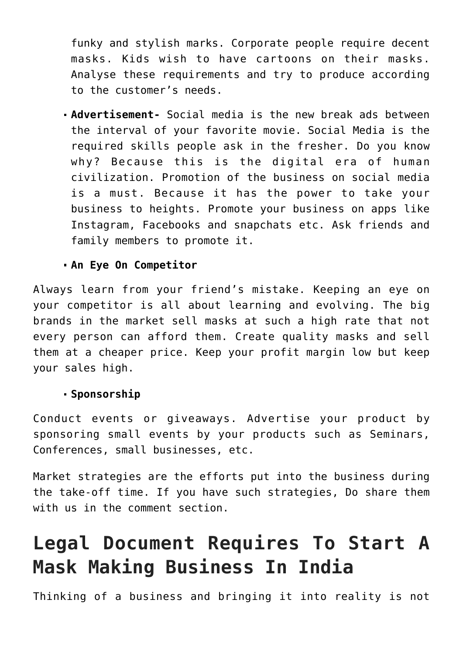funky and stylish marks. Corporate people require decent masks. Kids wish to have cartoons on their masks. Analyse these requirements and try to produce according to the customer's needs.

**Advertisement-** Social media is the new break ads between the interval of your favorite movie. Social Media is the required skills people ask in the fresher. Do you know why? Because this is the digital era of human civilization. Promotion of the business on social media is a must. Because it has the power to take your business to heights. Promote your business on apps like Instagram, Facebooks and snapchats etc. Ask friends and family members to promote it.

### **An Eye On Competitor**

Always learn from your friend's mistake. Keeping an eye on your competitor is all about learning and evolving. The big brands in the market sell masks at such a high rate that not every person can afford them. Create quality masks and sell them at a cheaper price. Keep your profit margin low but keep your sales high.

### **Sponsorship**

Conduct events or giveaways. Advertise your product by sponsoring small events by your products such as Seminars, Conferences, small businesses, etc.

Market strategies are the efforts put into the business during the take-off time. If you have such strategies, Do share them with us in the comment section.

# **Legal Document Requires To Start A Mask Making Business In India**

Thinking of a business and bringing it into reality is not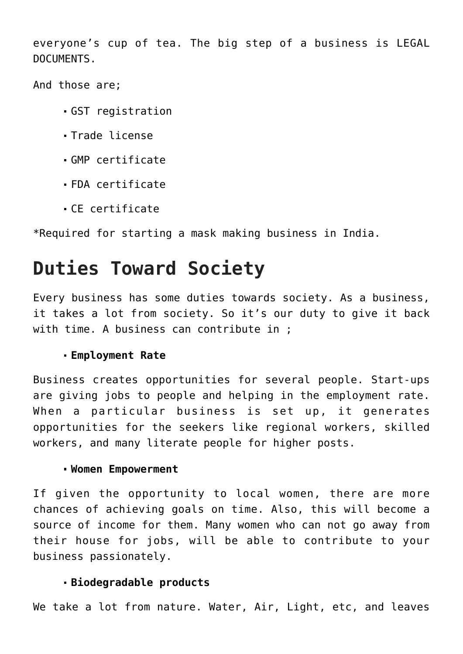everyone's cup of tea. The big step of a business is LEGAL DOCUMENTS.

And those are;

- GST registration
- Trade license
- GMP certificate
- FDA certificate
- CE certificate

\*Required for starting a mask making business in India.

### **Duties Toward Society**

Every business has some duties towards society. As a business, it takes a lot from society. So it's our duty to give it back with time. A business can contribute in :

### **Employment Rate**

Business creates opportunities for several people. Start-ups are giving jobs to people and helping in the employment rate. When a particular business is set up, it generates opportunities for the seekers like regional workers, skilled workers, and many literate people for higher posts.

#### **Women Empowerment**

If given the opportunity to local women, there are more chances of achieving goals on time. Also, this will become a source of income for them. Many women who can not go away from their house for jobs, will be able to contribute to your business passionately.

### **Biodegradable products**

We take a lot from nature. Water, Air, Light, etc, and leaves